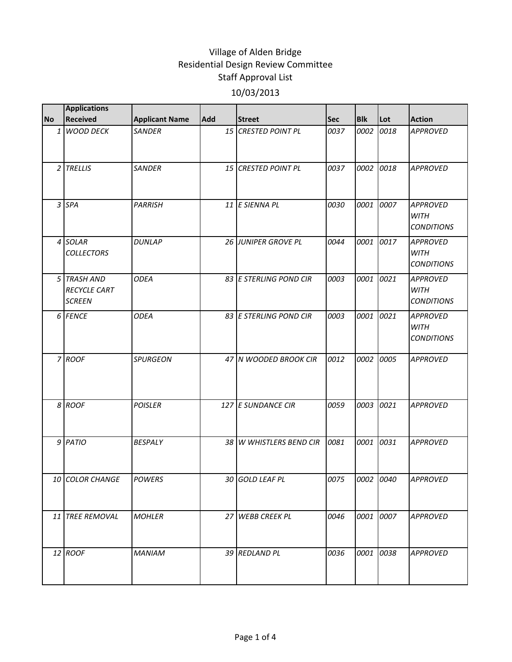|           | <b>Applications</b>                                 |                       |                 |                         |            |            |           |                                                     |
|-----------|-----------------------------------------------------|-----------------------|-----------------|-------------------------|------------|------------|-----------|-----------------------------------------------------|
| <b>No</b> | <b>Received</b>                                     | <b>Applicant Name</b> | <b>Add</b>      | <b>Street</b>           | <b>Sec</b> | <b>Blk</b> | Lot       | <b>Action</b>                                       |
|           | 1 WOOD DECK                                         | <b>SANDER</b>         |                 | 15 CRESTED POINT PL     | 0037       | 0002       | 0018      | <b>APPROVED</b>                                     |
|           | 2 TRELLIS                                           | <b>SANDER</b>         | 15 <sup>1</sup> | <b>CRESTED POINT PL</b> | 0037       | 0002       | 0018      | <b>APPROVED</b>                                     |
|           | 3 SPA                                               | <b>PARRISH</b>        |                 | 11 E SIENNA PL          | 0030       | 0001       | 0007      | <b>APPROVED</b><br><b>WITH</b><br><b>CONDITIONS</b> |
|           | 4 SOLAR<br><b>COLLECTORS</b>                        | <b>DUNLAP</b>         |                 | 26 JUNIPER GROVE PL     | 0044       | 0001       | 0017      | <b>APPROVED</b><br><b>WITH</b><br><b>CONDITIONS</b> |
|           | 5 TRASH AND<br><b>RECYCLE CART</b><br><b>SCREEN</b> | <b>ODEA</b>           |                 | 83 E STERLING POND CIR  | 0003       | 0001       | 0021      | <b>APPROVED</b><br><b>WITH</b><br><b>CONDITIONS</b> |
|           | 6 FENCE                                             | <b>ODEA</b>           |                 | 83 E STERLING POND CIR  | 0003       | 0001       | 0021      | <b>APPROVED</b><br><b>WITH</b><br><b>CONDITIONS</b> |
|           | 7 ROOF                                              | <b>SPURGEON</b>       |                 | 47 N WOODED BROOK CIR   | 0012       | 0002       | 0005      | <b>APPROVED</b>                                     |
|           | 8 ROOF                                              | <b>POISLER</b>        |                 | 127 E SUNDANCE CIR      | 0059       | 0003       | 0021      | <b>APPROVED</b>                                     |
|           | 9 PATIO                                             | <b>BESPALY</b>        |                 | 38 W WHISTLERS BEND CIR | 0081       | 0001       | 0031      | <b>APPROVED</b>                                     |
|           | 10 COLOR CHANGE                                     | <b>POWERS</b>         |                 | 30 GOLD LEAF PL         | 0075       |            | 0002 0040 | <b>APPROVED</b>                                     |
|           | 11 TREE REMOVAL                                     | <b>MOHLER</b>         |                 | 27 WEBB CREEK PL        | 0046       | 0001       | 0007      | <b>APPROVED</b>                                     |
|           | $12$ ROOF                                           | <b>MANIAM</b>         |                 | 39 REDLAND PL           | 0036       | 0001       | 0038      | <b>APPROVED</b>                                     |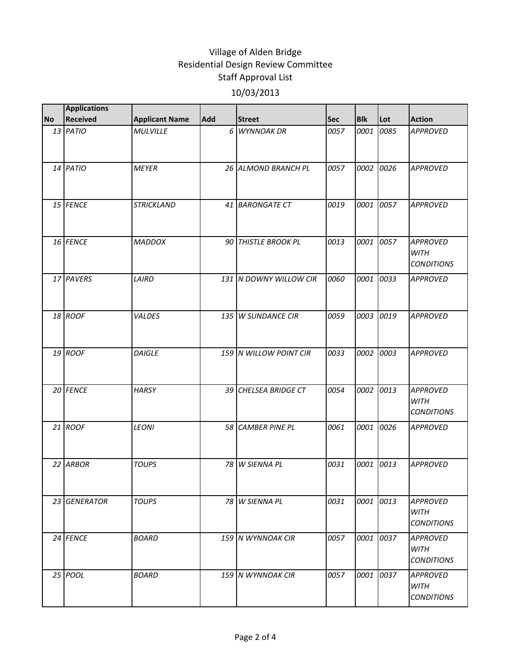| <b>No</b> | <b>Applications</b><br><b>Received</b> | <b>Applicant Name</b> | <b>Add</b> | <b>Street</b>          | Sec  | <b>Blk</b> | Lot  | <b>Action</b>                                       |
|-----------|----------------------------------------|-----------------------|------------|------------------------|------|------------|------|-----------------------------------------------------|
|           | 13 PATIO                               | <b>MULVILLE</b>       |            | 6 WYNNOAK DR           | 0057 | 0001       | 0085 | <b>APPROVED</b>                                     |
|           |                                        |                       |            |                        |      |            |      |                                                     |
|           | 14 PATIO                               | <b>MEYER</b>          |            | 26 ALMOND BRANCH PL    | 0057 | 0002       | 0026 | <b>APPROVED</b>                                     |
|           | 15 FENCE                               | <b>STRICKLAND</b>     |            | 41 BARONGATE CT        | 0019 | 0001       | 0057 | <b>APPROVED</b>                                     |
|           | 16 FENCE                               | <b>MADDOX</b>         |            | 90 THISTLE BROOK PL    | 0013 | 0001       | 0057 | <b>APPROVED</b><br><b>WITH</b><br><b>CONDITIONS</b> |
|           | 17 PAVERS                              | LAIRD                 |            | 131 N DOWNY WILLOW CIR | 0060 | 0001       | 0033 | <b>APPROVED</b>                                     |
|           | 18 ROOF                                | VALDES                |            | 135 W SUNDANCE CIR     | 0059 | 0003       | 0019 | <b>APPROVED</b>                                     |
|           | 19 ROOF                                | <b>DAIGLE</b>         |            | 159 N WILLOW POINT CIR | 0033 | 0002       | 0003 | <b>APPROVED</b>                                     |
|           | 20 FENCE                               | <b>HARSY</b>          |            | 39 CHELSEA BRIDGE CT   | 0054 | 0002       | 0013 | <b>APPROVED</b><br>WITH<br><b>CONDITIONS</b>        |
|           | $21$ ROOF                              | <b>LEONI</b>          |            | 58 CAMBER PINE PL      | 0061 | 0001       | 0026 | <b>APPROVED</b>                                     |
|           | 22 ARBOR                               | <b>TOUPS</b>          | 78         | W SIENNA PL            | 0031 | 0001       | 0013 | <b>APPROVED</b>                                     |
|           | 23 GENERATOR                           | <b>TOUPS</b>          |            | 78 W SIENNA PL         | 0031 | 0001       | 0013 | <b>APPROVED</b><br>WITH<br><i>CONDITIONS</i>        |
|           | 24 FENCE                               | <b>BOARD</b>          |            | 159 N WYNNOAK CIR      | 0057 | 0001       | 0037 | <b>APPROVED</b><br><b>WITH</b><br><b>CONDITIONS</b> |
|           | 25 POOL                                | <b>BOARD</b>          |            | 159 N WYNNOAK CIR      | 0057 | 0001       | 0037 | <b>APPROVED</b><br><b>WITH</b><br><b>CONDITIONS</b> |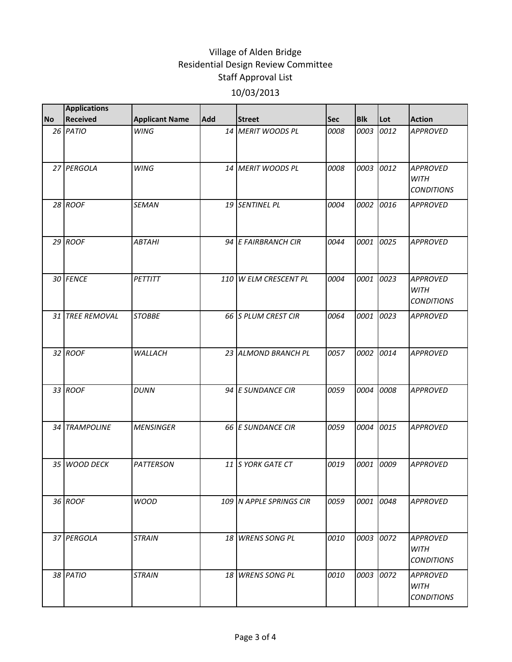|           | <b>Applications</b> |                       |            |                         |            |            |      |                                                     |
|-----------|---------------------|-----------------------|------------|-------------------------|------------|------------|------|-----------------------------------------------------|
| <b>No</b> | <b>Received</b>     | <b>Applicant Name</b> | <b>Add</b> | <b>Street</b>           | <b>Sec</b> | <b>Blk</b> | Lot  | <b>Action</b>                                       |
|           | 26 PATIO            | <b>WING</b>           |            | 14 MERIT WOODS PL       | 0008       | 0003       | 0012 | <b>APPROVED</b>                                     |
|           | 27 PERGOLA          | <b>WING</b>           |            | 14 MERIT WOODS PL       | 0008       | 0003       | 0012 | <b>APPROVED</b><br><b>WITH</b><br><b>CONDITIONS</b> |
|           | 28 ROOF             | <b>SEMAN</b>          |            | 19 SENTINEL PL          | 0004       | 0002       | 0016 | <b>APPROVED</b>                                     |
|           | $29$ ROOF           | <b>ABTAHI</b>         |            | 94 E FAIRBRANCH CIR     | 0044       | 0001       | 0025 | <b>APPROVED</b>                                     |
|           | 30 FENCE            | <b>PETTITT</b>        |            | 110 W ELM CRESCENT PL   | 0004       | 0001       | 0023 | <b>APPROVED</b><br><b>WITH</b><br><b>CONDITIONS</b> |
|           | 31 TREE REMOVAL     | <b>STOBBE</b>         |            | 66 S PLUM CREST CIR     | 0064       | 0001       | 0023 | <b>APPROVED</b>                                     |
|           | 32 ROOF             | WALLACH               |            | 23 ALMOND BRANCH PL     | 0057       | 0002       | 0014 | <b>APPROVED</b>                                     |
|           | 33 ROOF             | <b>DUNN</b>           |            | 94 E SUNDANCE CIR       | 0059       | 0004       | 0008 | <b>APPROVED</b>                                     |
|           | 34 TRAMPOLINE       | <b>MENSINGER</b>      |            | 66 E SUNDANCE CIR       | 0059       | 0004       | 0015 | <b>APPROVED</b>                                     |
|           | 35 WOOD DECK        | <b>PATTERSON</b>      |            | 11 S YORK GATE CT       | 0019       | 0001       | 0009 | <b>APPROVED</b>                                     |
|           | 36 ROOF             | <b>WOOD</b>           |            | 109 N APPLE SPRINGS CIR | 0059       | 0001       | 0048 | <b>APPROVED</b>                                     |
|           | 37 PERGOLA          | <b>STRAIN</b>         |            | 18 WRENS SONG PL        | 0010       | 0003       | 0072 | <b>APPROVED</b><br><b>WITH</b><br><b>CONDITIONS</b> |
|           | 38 PATIO            | <b>STRAIN</b>         |            | 18 WRENS SONG PL        | 0010       | 0003       | 0072 | <b>APPROVED</b><br><b>WITH</b><br><b>CONDITIONS</b> |